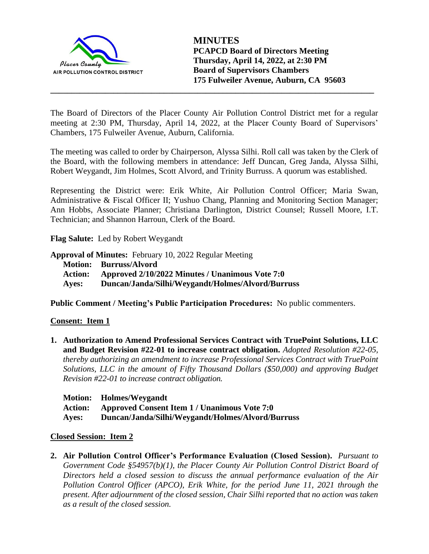

The Board of Directors of the Placer County Air Pollution Control District met for a regular meeting at 2:30 PM, Thursday, April 14, 2022, at the Placer County Board of Supervisors' Chambers, 175 Fulweiler Avenue, Auburn, California.

**\_\_\_\_\_\_\_\_\_\_\_\_\_\_\_\_\_\_\_\_\_\_\_\_\_\_\_\_\_\_\_\_\_\_\_\_\_\_\_\_\_\_\_\_\_\_\_\_\_\_\_\_\_\_\_\_\_\_\_\_\_\_\_\_\_\_\_\_\_\_\_\_\_\_\_\_\_**

The meeting was called to order by Chairperson, Alyssa Silhi. Roll call was taken by the Clerk of the Board, with the following members in attendance: Jeff Duncan, Greg Janda, Alyssa Silhi, Robert Weygandt, Jim Holmes, Scott Alvord, and Trinity Burruss. A quorum was established.

Representing the District were: Erik White, Air Pollution Control Officer; Maria Swan, Administrative & Fiscal Officer II; Yushuo Chang, Planning and Monitoring Section Manager; Ann Hobbs, Associate Planner; Christiana Darlington, District Counsel; Russell Moore, I.T. Technician; and Shannon Harroun, Clerk of the Board.

**Flag Salute:** Led by Robert Weygandt

**Approval of Minutes:** February 10, 2022 Regular Meeting

**Motion: Burruss/Alvord Action: Approved 2/10/2022 Minutes / Unanimous Vote 7:0 Ayes: Duncan/Janda/Silhi/Weygandt/Holmes/Alvord/Burruss**

**Public Comment / Meeting's Public Participation Procedures:** No public commenters.

# **Consent: Item 1**

**1. Authorization to Amend Professional Services Contract with TruePoint Solutions, LLC and Budget Revision #22-01 to increase contract obligation.** *Adopted Resolution #22-05, thereby authorizing an amendment to increase Professional Services Contract with TruePoint Solutions, LLC in the amount of Fifty Thousand Dollars (\$50,000) and approving Budget Revision #22-01 to increase contract obligation.*

|       | Motion: Holmes/Weygandt                                     |
|-------|-------------------------------------------------------------|
|       | <b>Action:</b> Approved Consent Item 1 / Unanimous Vote 7:0 |
| Ayes: | Duncan/Janda/Silhi/Weygandt/Holmes/Alvord/Burruss           |

### **Closed Session: Item 2**

**2. Air Pollution Control Officer's Performance Evaluation (Closed Session).** *Pursuant to Government Code §54957(b)(1), the Placer County Air Pollution Control District Board of Directors held a closed session to discuss the annual performance evaluation of the Air Pollution Control Officer (APCO), Erik White, for the period June 11, 2021 through the present. After adjournment of the closed session, Chair Silhi reported that no action was taken as a result of the closed session.*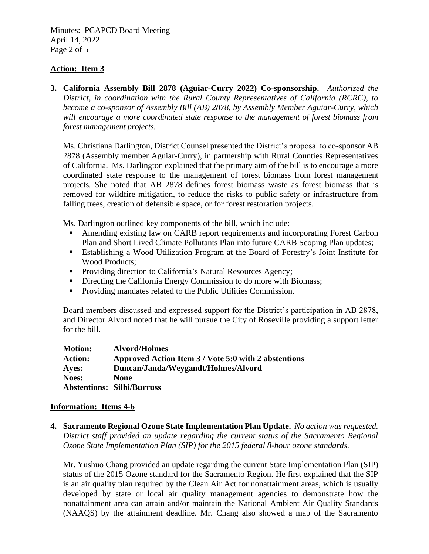Minutes: PCAPCD Board Meeting April 14, 2022 Page 2 of 5

### **Action: Item 3**

**3. California Assembly Bill 2878 (Aguiar-Curry 2022) Co-sponsorship.** *Authorized the District, in coordination with the Rural County Representatives of California (RCRC), to become a co-sponsor of Assembly Bill (AB) 2878, by Assembly Member Aguiar-Curry, which will encourage a more coordinated state response to the management of forest biomass from forest management projects.*

Ms. Christiana Darlington, District Counsel presented the District's proposal to co-sponsor AB 2878 (Assembly member Aguiar-Curry), in partnership with Rural Counties Representatives of California. Ms. Darlington explained that the primary aim of the bill is to encourage a more coordinated state response to the management of forest biomass from forest management projects. She noted that AB 2878 defines forest biomass waste as forest biomass that is removed for wildfire mitigation, to reduce the risks to public safety or infrastructure from falling trees, creation of defensible space, or for forest restoration projects.

Ms. Darlington outlined key components of the bill, which include:

- Amending existing law on CARB report requirements and incorporating Forest Carbon Plan and Short Lived Climate Pollutants Plan into future CARB Scoping Plan updates;
- Establishing a Wood Utilization Program at the Board of Forestry's Joint Institute for Wood Products;
- **•** Providing direction to California's Natural Resources Agency;
- **•** Directing the California Energy Commission to do more with Biomass;
- Providing mandates related to the Public Utilities Commission.

Board members discussed and expressed support for the District's participation in AB 2878, and Director Alvord noted that he will pursue the City of Roseville providing a support letter for the bill.

| <b>Motion:</b> | <b>Alvord/Holmes</b>                                 |
|----------------|------------------------------------------------------|
| <b>Action:</b> | Approved Action Item 3 / Vote 5:0 with 2 abstentions |
| Ayes:          | Duncan/Janda/Weygandt/Holmes/Alvord                  |
| <b>Noes:</b>   | <b>None</b>                                          |
|                | <b>Abstentions: Silhi/Burruss</b>                    |

#### **Information: Items 4-6**

**4. Sacramento Regional Ozone State Implementation Plan Update.** *No action was requested. District staff provided an update regarding the current status of the Sacramento Regional Ozone State Implementation Plan (SIP) for the 2015 federal 8-hour ozone standards.*

Mr. Yushuo Chang provided an update regarding the current State Implementation Plan (SIP) status of the 2015 Ozone standard for the Sacramento Region. He first explained that the SIP is an air quality plan required by the Clean Air Act for nonattainment areas, which is usually developed by state or local air quality management agencies to demonstrate how the nonattainment area can attain and/or maintain the National Ambient Air Quality Standards (NAAQS) by the attainment deadline. Mr. Chang also showed a map of the Sacramento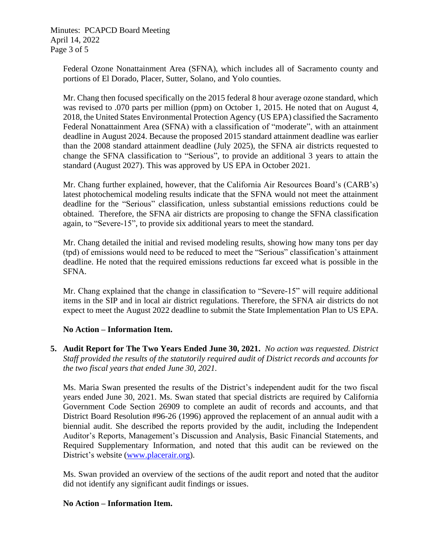Minutes: PCAPCD Board Meeting April 14, 2022 Page 3 of 5

> Federal Ozone Nonattainment Area (SFNA), which includes all of Sacramento county and portions of El Dorado, Placer, Sutter, Solano, and Yolo counties.

> Mr. Chang then focused specifically on the 2015 federal 8 hour average ozone standard, which was revised to .070 parts per million (ppm) on October 1, 2015. He noted that on August 4, 2018, the United States Environmental Protection Agency (US EPA) classified the Sacramento Federal Nonattainment Area (SFNA) with a classification of "moderate", with an attainment deadline in August 2024. Because the proposed 2015 standard attainment deadline was earlier than the 2008 standard attainment deadline (July 2025), the SFNA air districts requested to change the SFNA classification to "Serious", to provide an additional 3 years to attain the standard (August 2027). This was approved by US EPA in October 2021.

> Mr. Chang further explained, however, that the California Air Resources Board's (CARB's) latest photochemical modeling results indicate that the SFNA would not meet the attainment deadline for the "Serious" classification, unless substantial emissions reductions could be obtained. Therefore, the SFNA air districts are proposing to change the SFNA classification again, to "Severe-15", to provide six additional years to meet the standard.

> Mr. Chang detailed the initial and revised modeling results, showing how many tons per day (tpd) of emissions would need to be reduced to meet the "Serious" classification's attainment deadline. He noted that the required emissions reductions far exceed what is possible in the SFNA.

> Mr. Chang explained that the change in classification to "Severe-15" will require additional items in the SIP and in local air district regulations. Therefore, the SFNA air districts do not expect to meet the August 2022 deadline to submit the State Implementation Plan to US EPA.

# **No Action – Information Item.**

**5. Audit Report for The Two Years Ended June 30, 2021.** *No action was requested. District Staff provided the results of the statutorily required audit of District records and accounts for the two fiscal years that ended June 30, 2021.* 

Ms. Maria Swan presented the results of the District's independent audit for the two fiscal years ended June 30, 2021. Ms. Swan stated that special districts are required by California Government Code Section 26909 to complete an audit of records and accounts, and that District Board Resolution #96-26 (1996) approved the replacement of an annual audit with a biennial audit. She described the reports provided by the audit, including the Independent Auditor's Reports, Management's Discussion and Analysis, Basic Financial Statements, and Required Supplementary Information, and noted that this audit can be reviewed on the District's website [\(www.placerair.org\)](http://www.placerair.org/).

Ms. Swan provided an overview of the sections of the audit report and noted that the auditor did not identify any significant audit findings or issues.

# **No Action – Information Item.**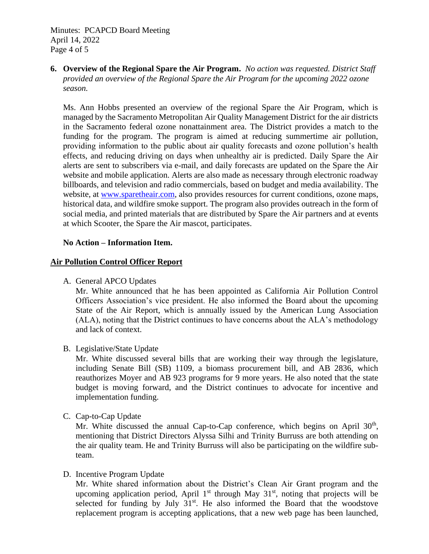Minutes: PCAPCD Board Meeting April 14, 2022 Page 4 of 5

**6. Overview of the Regional Spare the Air Program.** *No action was requested. District Staff provided an overview of the Regional Spare the Air Program for the upcoming 2022 ozone season.*

Ms. Ann Hobbs presented an overview of the regional Spare the Air Program, which is managed by the Sacramento Metropolitan Air Quality Management District for the air districts in the Sacramento federal ozone nonattainment area. The District provides a match to the funding for the program. The program is aimed at reducing summertime air pollution, providing information to the public about air quality forecasts and ozone pollution's health effects, and reducing driving on days when unhealthy air is predicted. Daily Spare the Air alerts are sent to subscribers via e-mail, and daily forecasts are updated on the Spare the Air website and mobile application. Alerts are also made as necessary through electronic roadway billboards, and television and radio commercials, based on budget and media availability. The website, at [www.sparetheair.com,](http://www.sparetheair.com/) also provides resources for current conditions, ozone maps, historical data, and wildfire smoke support. The program also provides outreach in the form of social media, and printed materials that are distributed by Spare the Air partners and at events at which Scooter, the Spare the Air mascot, participates.

### **No Action – Information Item.**

### **Air Pollution Control Officer Report**

A. General APCO Updates

Mr. White announced that he has been appointed as California Air Pollution Control Officers Association's vice president. He also informed the Board about the upcoming State of the Air Report, which is annually issued by the American Lung Association (ALA), noting that the District continues to have concerns about the ALA's methodology and lack of context.

B. Legislative/State Update

Mr. White discussed several bills that are working their way through the legislature, including Senate Bill (SB) 1109, a biomass procurement bill, and AB 2836, which reauthorizes Moyer and AB 923 programs for 9 more years. He also noted that the state budget is moving forward, and the District continues to advocate for incentive and implementation funding.

C. Cap-to-Cap Update

Mr. White discussed the annual Cap-to-Cap conference, which begins on April 30<sup>th</sup>, mentioning that District Directors Alyssa Silhi and Trinity Burruss are both attending on the air quality team. He and Trinity Burruss will also be participating on the wildfire subteam.

D. Incentive Program Update

Mr. White shared information about the District's Clean Air Grant program and the upcoming application period, April  $1<sup>st</sup>$  through May  $31<sup>st</sup>$ , noting that projects will be selected for funding by July  $31<sup>st</sup>$ . He also informed the Board that the woodstove replacement program is accepting applications, that a new web page has been launched,